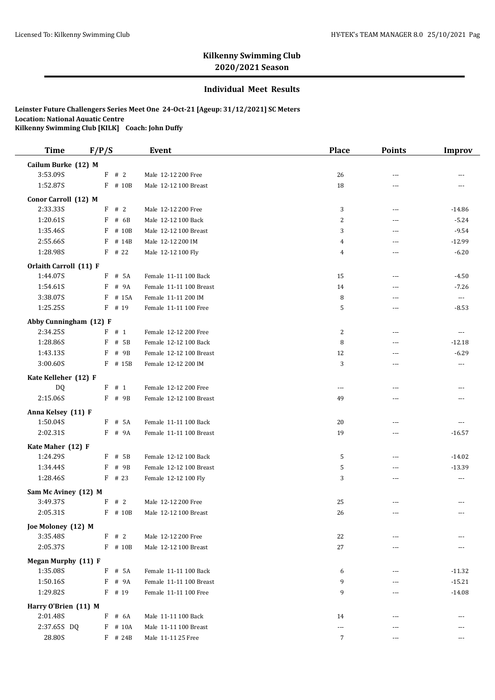## **Kilkenny Swimming Club 2020/2021 Season**

## **Individual Meet Results**

**Leinster Future Challengers Series Meet One 24-Oct-21 [Ageup: 31/12/2021] SC Meters Location: National Aquatic Centre Kilkenny Swimming Club [KILK] Coach: John Duffy**

| <b>Time</b>                   | F/P/S              | <b>Event</b>            | <b>Place</b> | <b>Points</b>        | <b>Improv</b>            |
|-------------------------------|--------------------|-------------------------|--------------|----------------------|--------------------------|
| Cailum Burke (12) M           |                    |                         |              |                      |                          |
| 3:53.09S                      | $\mathbf{F}$<br>#2 | Male 12-12 200 Free     | 26           | $---$                |                          |
| 1:52.87S                      | F # 10B            | Male 12-12 100 Breast   | 18           | $---$                |                          |
| Conor Carroll (12) M          |                    |                         |              |                      |                          |
| 2:33.335                      | F # 2              | Male 12-12 200 Free     | 3            | $---$                | $-14.86$                 |
| 1:20.61S                      | F<br># 6B          | Male 12-12 100 Back     | 2            | $\overline{a}$       | $-5.24$                  |
| 1:35.46S                      | F<br># 10B         | Male 12-12 100 Breast   | 3            | $\sim$ $\sim$        | $-9.54$                  |
| 2:55.66S                      | F<br># 14B         | Male 12-12 200 IM       | 4            | ---                  | $-12.99$                 |
| 1:28.98S                      | $F$ # 22           | Male 12-12 100 Fly      | 4            | $\overline{a}$       | $-6.20$                  |
| Orlaith Carroll (11) F        |                    |                         |              |                      |                          |
| 1:44.07S                      | # 5A<br>F          | Female 11-11 100 Back   | 15           | $\overline{a}$       | $-4.50$                  |
| 1:54.61S                      | # 9A<br>F          | Female 11-11 100 Breast | 14           | $---$                | $-7.26$                  |
| 3:38.07S                      | F<br># 15A         | Female 11-11 200 IM     | 8            | $---$                | $\cdots$                 |
| 1:25.25S                      | $F$ # 19           | Female 11-11 100 Free   | 5            | ---                  | $-8.53$                  |
| Abby Cunningham (12) F        |                    |                         |              |                      |                          |
| 2:34.25S                      | F # 1              | Female 12-12 200 Free   | 2            | $\overline{a}$       | $\sim$ $\sim$            |
| 1:28.86S                      | F<br># 5B          | Female 12-12 100 Back   | 8            | $---$                | $-12.18$                 |
| 1:43.13S                      | # 9B<br>F          | Female 12-12 100 Breast | 12           | ---                  | $-6.29$                  |
| 3:00.60S                      | $F$ # 15B          | Female 12-12 200 IM     | 3            | ---                  | $\overline{\phantom{a}}$ |
| Kate Kelleher (12) F          |                    |                         |              |                      |                          |
| DQ                            | F # 1              | Female 12-12 200 Free   | ---          | ---                  |                          |
| 2:15.06S                      | F # 9B             | Female 12-12 100 Breast | 49           | $\sim$ $\sim$        | $---$                    |
| Anna Kelsey (11) F            |                    |                         |              |                      |                          |
| 1:50.04S                      | $F$ # 5A           | Female 11-11 100 Back   | 20           | ---                  | $- - -$                  |
| 2:02.31S                      | F # 9A             | Female 11-11 100 Breast | 19           | $\sim$ $\sim$        | $-16.57$                 |
|                               |                    |                         |              |                      |                          |
| Kate Maher (12) F<br>1:24.29S | F # 5B             | Female 12-12 100 Back   | 5            | ---                  | $-14.02$                 |
| 1:34.44S                      | # 9B<br>F          | Female 12-12 100 Breast | 5            |                      | $-13.39$                 |
| 1:28.46S                      | $F$ # 23           | Female 12-12 100 Fly    | 3            | ---<br>$\sim$ $\sim$ | $---$                    |
|                               |                    |                         |              |                      |                          |
| Sam Mc Aviney (12) M          |                    |                         |              |                      |                          |
| 3:49.37S                      | F<br>#2            | Male 12-12 200 Free     | 25           | $- - -$              |                          |
| 2:05.31S                      | F<br># 10B         | Male 12-12 100 Breast   | 26           | $\sim$ $\sim$        | $- - -$                  |
| Joe Moloney (12) M            |                    |                         |              |                      |                          |
| 3:35.48S                      | F # 2              | Male 12-12 200 Free     | 22           |                      |                          |
| 2:05.37S                      | F # 10B            | Male 12-12 100 Breast   | 27           |                      |                          |
| Megan Murphy (11) F           |                    |                         |              |                      |                          |
| 1:35.08S                      | F<br># 5A          | Female 11-11 100 Back   | 6            | ---                  | $-11.32$                 |
| 1:50.16S                      | F<br># 9A          | Female 11-11 100 Breast | 9            | $---$                | $-15.21$                 |
| 1:29.82S                      | $F$ # 19           | Female 11-11 100 Free   | 9            | ---                  | $-14.08$                 |
| Harry O'Brien (11) M          |                    |                         |              |                      |                          |
| 2:01.48S                      | F<br># 6A          | Male 11-11 100 Back     | 14           | $- - -$              |                          |
| 2:37.65S DQ                   | F # 10A            | Male 11-11 100 Breast   | ---          |                      |                          |
| 28.80S                        | F # 24B            | Male 11-11 25 Free      | 7            | $- - -$              | ---                      |